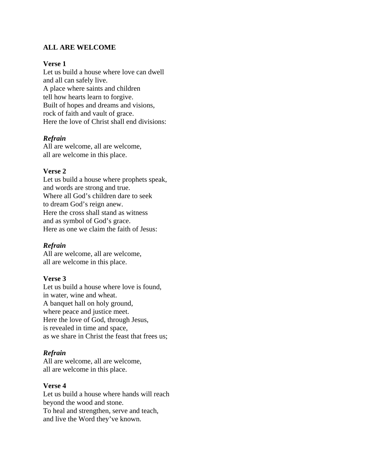# **ALL ARE WELCOME**

## **Verse 1**

Let us build a house where love can dwell and all can safely live. A place where saints and children tell how hearts learn to forgive. Built of hopes and dreams and visions, rock of faith and vault of grace. Here the love of Christ shall end divisions:

# *Refrain*

All are welcome, all are welcome, all are welcome in this place.

### **Verse 2**

Let us build a house where prophets speak, and words are strong and true. Where all God's children dare to seek to dream God's reign anew. Here the cross shall stand as witness and as symbol of God's grace. Here as one we claim the faith of Jesus:

## *Refrain*

All are welcome, all are welcome, all are welcome in this place.

## **Verse 3**

Let us build a house where love is found, in water, wine and wheat. A banquet hall on holy ground, where peace and justice meet. Here the love of God, through Jesus, is revealed in time and space, as we share in Christ the feast that frees us;

# *Refrain*

All are welcome, all are welcome, all are welcome in this place.

## **Verse 4**

Let us build a house where hands will reach beyond the wood and stone. To heal and strengthen, serve and teach, and live the Word they've known.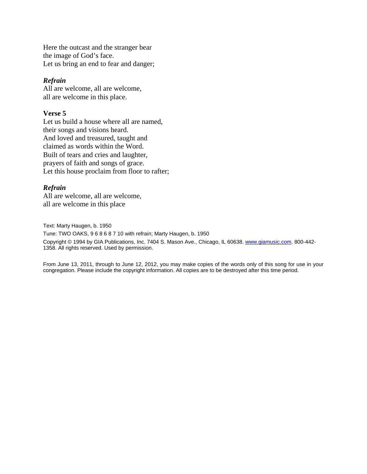Here the outcast and the stranger bear the image of God's face. Let us bring an end to fear and danger;

#### *Refrain*

All are welcome, all are welcome, all are welcome in this place.

### **Verse 5**

Let us build a house where all are named, their songs and visions heard. And loved and treasured, taught and claimed as words within the Word. Built of tears and cries and laughter, prayers of faith and songs of grace. Let this house proclaim from floor to rafter;

## *Refrain*

All are welcome, all are welcome, all are welcome in this place

Text: Marty Haugen, b. 1950 Tune: TWO OAKS, 9 6 8 6 8 7 10 with refrain; Marty Haugen, b. 1950 Copyright © 1994 by GIA Publications, Inc. 7404 S. Mason Ave., Chicago, IL 60638. [www.giamusic.com](http://www.giamusic.com/). 800-442- 1358. All rights reserved. Used by permission.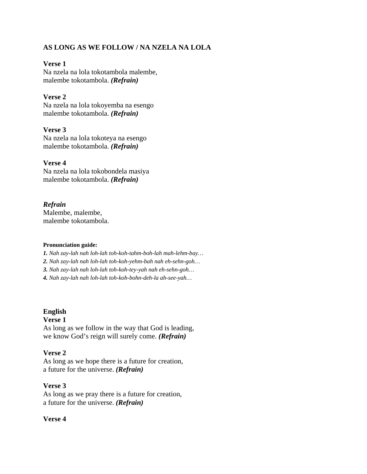# **AS LONG AS WE FOLLOW / NA NZELA NA LOLA**

## **Verse 1**

Na nzela na lola tokotambola malembe, malembe tokotambola. *(Refrain)*

# **Verse 2**

Na nzela na lola tokoyemba na esengo malembe tokotambola. *(Refrain)*

## **Verse 3**

Na nzela na lola tokoteya na esengo malembe tokotambola. *(Refrain)*

## **Verse 4**

Na nzela na lola tokobondela masiya malembe tokotambola. *(Refrain)*

# *Refrain*

Malembe, malembe, malembe tokotambola.

#### **Pronunciation guide:**

*1. Nah zay-lah nah loh-lah toh-koh-tahm-boh-lah mah-lehm-bay…* 

*2. Nah zay-lah nah loh-lah toh-koh-yehm-bah nah eh-sehn-goh…* 

*3. Nah zay-lah nah loh-lah toh-koh-tey-yah nah eh-sehn-goh…* 

*4. Nah zay-lah nah loh-lah toh-koh-bohn-deh-la ah-see-yah…*

## **English**

## **Verse 1**

As long as we follow in the way that God is leading, we know God's reign will surely come. *(Refrain)*

## **Verse 2**

As long as we hope there is a future for creation, a future for the universe. *(Refrain)*

## **Verse 3**

As long as we pray there is a future for creation, a future for the universe. *(Refrain)*

## **Verse 4**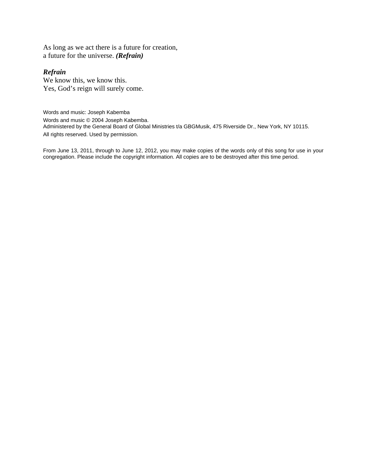As long as we act there is a future for creation, a future for the universe. *(Refrain)*

### *Refrain*

We know this, we know this. Yes, God's reign will surely come.

Words and music: Joseph Kabemba Words and music © 2004 Joseph Kabemba. Administered by the General Board of Global Ministries t/a GBGMusik, 475 Riverside Dr., New York, NY 10115. All rights reserved. Used by permission.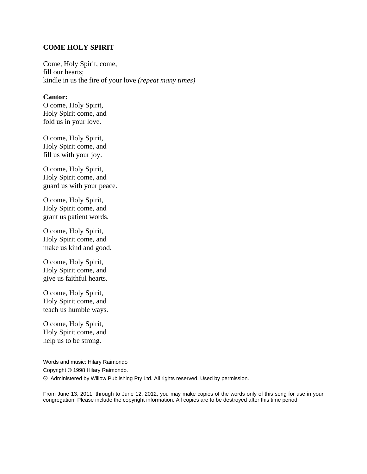### **COME HOLY SPIRIT**

Come, Holy Spirit, come, fill our hearts; kindle in us the fire of your love *(repeat many times)* 

#### **Cantor:**

O come, Holy Spirit, Holy Spirit come, and fold us in your love.

O come, Holy Spirit, Holy Spirit come, and fill us with your joy.

O come, Holy Spirit, Holy Spirit come, and guard us with your peace.

O come, Holy Spirit, Holy Spirit come, and grant us patient words.

O come, Holy Spirit, Holy Spirit come, and make us kind and good.

O come, Holy Spirit, Holy Spirit come, and give us faithful hearts.

O come, Holy Spirit, Holy Spirit come, and teach us humble ways.

O come, Holy Spirit, Holy Spirit come, and help us to be strong.

Words and music: Hilary Raimondo Copyright © 1998 Hilary Raimondo. ℗ Administered by Willow Publishing Pty Ltd. All rights reserved. Used by permission.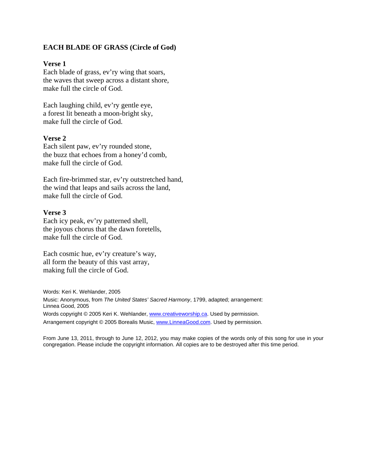## **EACH BLADE OF GRASS (Circle of God)**

### **Verse 1**

Each blade of grass, ev'ry wing that soars, the waves that sweep across a distant shore, make full the circle of God.

Each laughing child, ev'ry gentle eye, a forest lit beneath a moon-bright sky, make full the circle of God.

### **Verse 2**

Each silent paw, ev'ry rounded stone, the buzz that echoes from a honey'd comb, make full the circle of God.

Each fire-brimmed star, ev'ry outstretched hand, the wind that leaps and sails across the land, make full the circle of God.

#### **Verse 3**

Each icy peak, ev'ry patterned shell, the joyous chorus that the dawn foretells, make full the circle of God.

Each cosmic hue, ev'ry creature's way, all form the beauty of this vast array, making full the circle of God.

Words: Keri K. Wehlander, 2005 Music: Anonymous, from *The United States' Sacred Harmony*, 1799, adapted; arrangement: Linnea Good, 2005 Words copyright © 2005 Keri K. Wehlander, [www.creativeworship.ca.](http://www.creativeworship.ca/) Used by permission. Arrangement copyright © 2005 Borealis Music, [www.LinneaGood.com](http://www.linneagood.com/). Used by permission.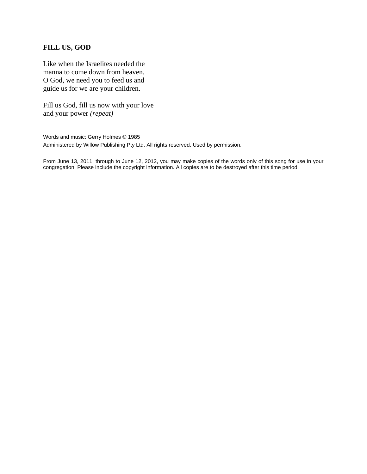# **FILL US, GOD**

Like when the Israelites needed the manna to come down from heaven. O God, we need you to feed us and guide us for we are your children.

Fill us God, fill us now with your love and your power *(repeat)*

Words and music: Gerry Holmes © 1985 Administered by Willow Publishing Pty Ltd. All rights reserved. Used by permission.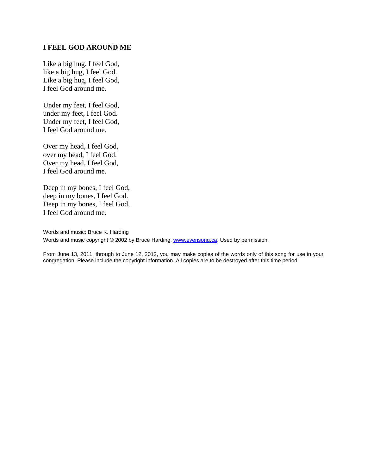### **I FEEL GOD AROUND ME**

Like a big hug, I feel God, like a big hug, I feel God. Like a big hug, I feel God, I feel God around me.

Under my feet, I feel God, under my feet, I feel God. Under my feet, I feel God, I feel God around me.

Over my head, I feel God, over my head, I feel God. Over my head, I feel God, I feel God around me.

Deep in my bones, I feel God, deep in my bones, I feel God. Deep in my bones, I feel God, I feel God around me.

Words and music: Bruce K. Harding Words and music copyright © 2002 by Bruce Harding, [www.evensong.ca](http://www.evensong.ca/). Used by permission.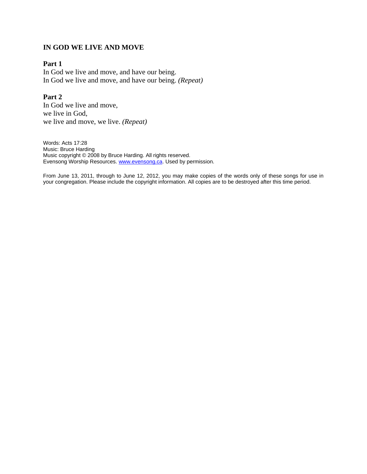# **IN GOD WE LIVE AND MOVE**

## **Part 1**

In God we live and move, and have our being. In God we live and move, and have our being. *(Repeat)*

# **Part 2**

In God we live and move, we live in God, we live and move, we live. *(Repeat)*

Words: Acts 17:28 Music: Bruce Harding Music copyright © 2008 by Bruce Harding. All rights reserved. Evensong Worship Resources. [www.evensong.ca](http://www.evensong.ca/). Used by permission.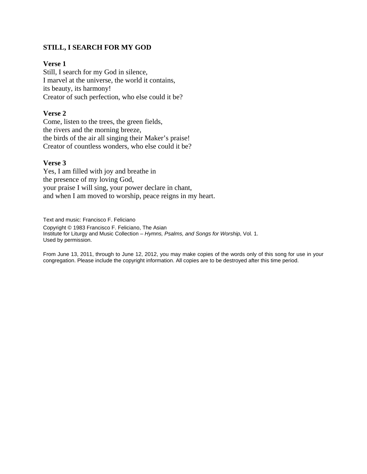# **STILL, I SEARCH FOR MY GOD**

# **Verse 1**

Still, I search for my God in silence, I marvel at the universe, the world it contains, its beauty, its harmony! Creator of such perfection, who else could it be?

## **Verse 2**

Come, listen to the trees, the green fields, the rivers and the morning breeze, the birds of the air all singing their Maker's praise! Creator of countless wonders, who else could it be?

### **Verse 3**

Yes, I am filled with joy and breathe in the presence of my loving God, your praise I will sing, your power declare in chant, and when I am moved to worship, peace reigns in my heart.

Text and music: Francisco F. Feliciano Copyright © 1983 Francisco F. Feliciano, The Asian Institute for Liturgy and Music Collection – *Hymns, Psalms, and Songs for Worship*, Vol. 1. Used by permission.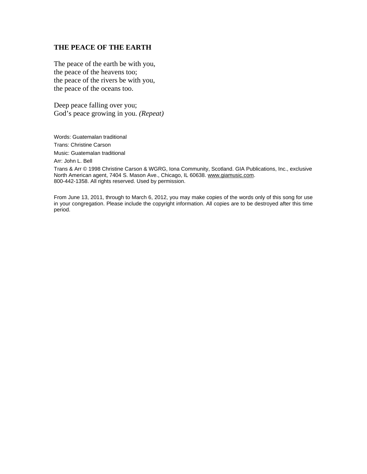### **THE PEACE OF THE EARTH**

The peace of the earth be with you, the peace of the heavens too; the peace of the rivers be with you, the peace of the oceans too.

Deep peace falling over you; God's peace growing in you. *(Repeat)*

Words: Guatemalan traditional Trans: Christine Carson Music: Guatemalan traditional

Arr: John L. Bell

Trans & Arr © 1998 Christine Carson & WGRG, Iona Community, Scotland. GIA Publications, Inc., exclusive North American agent, 7404 S. Mason Ave., Chicago, IL 60638. www.giamusic.com. 800-442-1358. All rights reserved. Used by permission.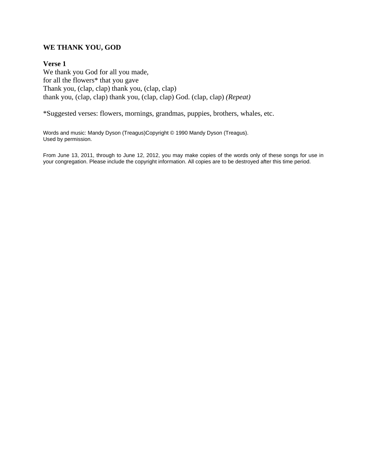# **WE THANK YOU, GOD**

### **Verse 1**

We thank you God for all you made, for all the flowers\* that you gave Thank you, (clap, clap) thank you, (clap, clap) thank you, (clap, clap) thank you, (clap, clap) God. (clap, clap) *(Repeat)*

\*Suggested verses: flowers, mornings, grandmas, puppies, brothers, whales, etc.

Words and music: Mandy Dyson (Treagus)Copyright © 1990 Mandy Dyson (Treagus). Used by permission.